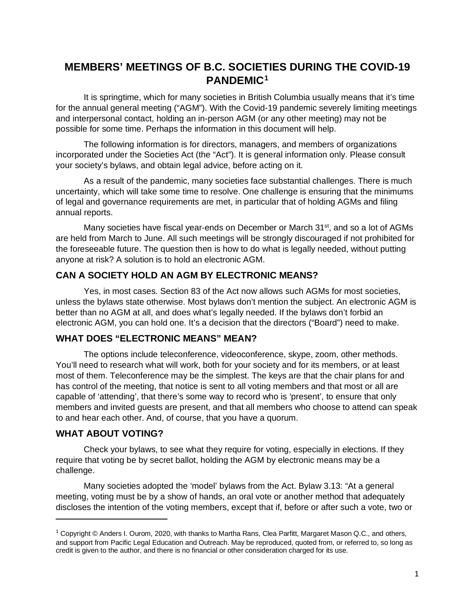# **MEMBERS' MEETINGS OF B.C. SOCIETIES DURING THE COVID-19 PANDEMIC[1](#page-0-0)**

It is springtime, which for many societies in British Columbia usually means that it's time for the annual general meeting ("AGM"). With the Covid-19 pandemic severely limiting meetings and interpersonal contact, holding an in-person AGM (or any other meeting) may not be possible for some time. Perhaps the information in this document will help.

The following information is for directors, managers, and members of organizations incorporated under the Societies Act (the "Act"). It is general information only. Please consult your society's bylaws, and obtain legal advice, before acting on it.

As a result of the pandemic, many societies face substantial challenges. There is much uncertainty, which will take some time to resolve. One challenge is ensuring that the minimums of legal and governance requirements are met, in particular that of holding AGMs and filing annual reports.

Many societies have fiscal year-ends on December or March  $31<sup>st</sup>$ , and so a lot of AGMs are held from March to June. All such meetings will be strongly discouraged if not prohibited for the foreseeable future. The question then is how to do what is legally needed, without putting anyone at risk? A solution is to hold an electronic AGM.

### **CAN A SOCIETY HOLD AN AGM BY ELECTRONIC MEANS?**

Yes, in most cases. Section 83 of the Act now allows such AGMs for most societies, unless the bylaws state otherwise. Most bylaws don't mention the subject. An electronic AGM is better than no AGM at all, and does what's legally needed. If the bylaws don't forbid an electronic AGM, you can hold one. It's a decision that the directors ("Board") need to make.

### **WHAT DOES "ELECTRONIC MEANS" MEAN?**

The options include teleconference, videoconference, skype, zoom, other methods. You'll need to research what will work, both for your society and for its members, or at least most of them. Teleconference may be the simplest. The keys are that the chair plans for and has control of the meeting, that notice is sent to all voting members and that most or all are capable of 'attending', that there's some way to record who is 'present', to ensure that only members and invited guests are present, and that all members who choose to attend can speak to and hear each other. And, of course, that you have a quorum.

#### **WHAT ABOUT VOTING?**

Check your bylaws, to see what they require for voting, especially in elections. If they require that voting be by secret ballot, holding the AGM by electronic means may be a challenge.

Many societies adopted the 'model' bylaws from the Act. Bylaw 3.13: "At a general meeting, voting must be by a show of hands, an oral vote or another method that adequately discloses the intention of the voting members, except that if, before or after such a vote, two or

<span id="page-0-0"></span> $1$  Copyright © Anders I. Ourom, 2020, with thanks to Martha Rans, Clea Parfitt, Margaret Mason Q.C., and others, and support from Pacific Legal Education and Outreach. May be reproduced, quoted from, or referred to, so long as credit is given to the author, and there is no financial or other consideration charged for its use.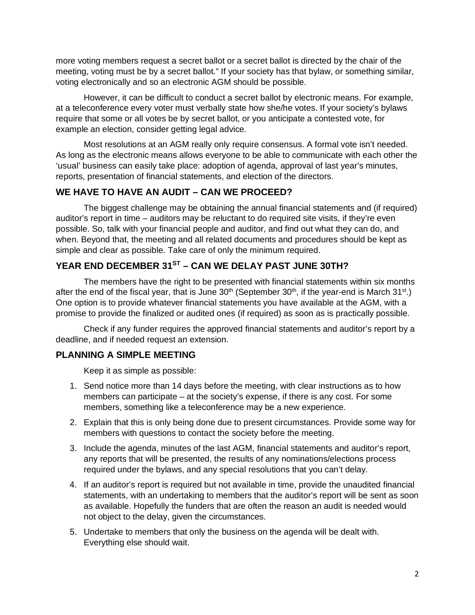more voting members request a secret ballot or a secret ballot is directed by the chair of the meeting, voting must be by a secret ballot." If your society has that bylaw, or something similar, voting electronically and so an electronic AGM should be possible.

However, it can be difficult to conduct a secret ballot by electronic means. For example, at a teleconference every voter must verbally state how she/he votes. If your society's bylaws require that some or all votes be by secret ballot, or you anticipate a contested vote, for example an election, consider getting legal advice.

Most resolutions at an AGM really only require consensus. A formal vote isn't needed. As long as the electronic means allows everyone to be able to communicate with each other the 'usual' business can easily take place: adoption of agenda, approval of last year's minutes, reports, presentation of financial statements, and election of the directors.

#### **WE HAVE TO HAVE AN AUDIT – CAN WE PROCEED?**

The biggest challenge may be obtaining the annual financial statements and (if required) auditor's report in time – auditors may be reluctant to do required site visits, if they're even possible. So, talk with your financial people and auditor, and find out what they can do, and when. Beyond that, the meeting and all related documents and procedures should be kept as simple and clear as possible. Take care of only the minimum required.

## **YEAR END DECEMBER 31ST – CAN WE DELAY PAST JUNE 30TH?**

The members have the right to be presented with financial statements within six months after the end of the fiscal year, that is June  $30<sup>th</sup>$  (September  $30<sup>th</sup>$ , if the year-end is March  $31<sup>st</sup>$ .) One option is to provide whatever financial statements you have available at the AGM, with a promise to provide the finalized or audited ones (if required) as soon as is practically possible.

Check if any funder requires the approved financial statements and auditor's report by a deadline, and if needed request an extension.

#### **PLANNING A SIMPLE MEETING**

Keep it as simple as possible:

- 1. Send notice more than 14 days before the meeting, with clear instructions as to how members can participate – at the society's expense, if there is any cost. For some members, something like a teleconference may be a new experience.
- 2. Explain that this is only being done due to present circumstances. Provide some way for members with questions to contact the society before the meeting.
- 3. Include the agenda, minutes of the last AGM, financial statements and auditor's report, any reports that will be presented, the results of any nominations/elections process required under the bylaws, and any special resolutions that you can't delay.
- 4. If an auditor's report is required but not available in time, provide the unaudited financial statements, with an undertaking to members that the auditor's report will be sent as soon as available. Hopefully the funders that are often the reason an audit is needed would not object to the delay, given the circumstances.
- 5. Undertake to members that only the business on the agenda will be dealt with. Everything else should wait.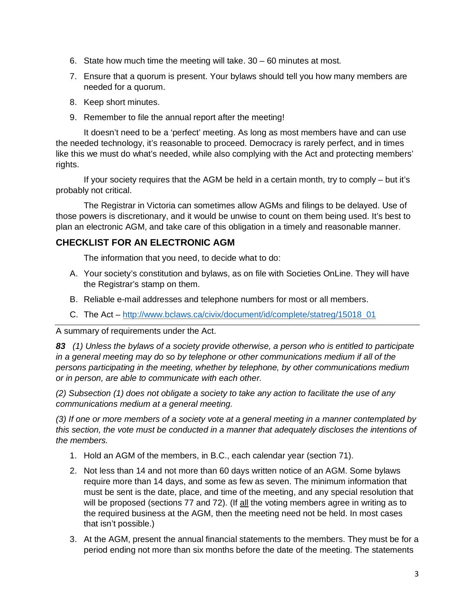- 6. State how much time the meeting will take. 30 60 minutes at most.
- 7. Ensure that a quorum is present. Your bylaws should tell you how many members are needed for a quorum.
- 8. Keep short minutes.
- 9. Remember to file the annual report after the meeting!

It doesn't need to be a 'perfect' meeting. As long as most members have and can use the needed technology, it's reasonable to proceed. Democracy is rarely perfect, and in times like this we must do what's needed, while also complying with the Act and protecting members' rights.

If your society requires that the AGM be held in a certain month, try to comply – but it's probably not critical.

The Registrar in Victoria can sometimes allow AGMs and filings to be delayed. Use of those powers is discretionary, and it would be unwise to count on them being used. It's best to plan an electronic AGM, and take care of this obligation in a timely and reasonable manner.

## **CHECKLIST FOR AN ELECTRONIC AGM**

The information that you need, to decide what to do:

- A. Your society's constitution and bylaws, as on file with Societies OnLine. They will have the Registrar's stamp on them.
- B. Reliable e-mail addresses and telephone numbers for most or all members.
- C. The Act [http://www.bclaws.ca/civix/document/id/complete/statreg/15018\\_01](http://www.bclaws.ca/civix/document/id/complete/statreg/15018_01)

A summary of requirements under the Act.

*83 (1) Unless the bylaws of a society provide otherwise, a person who is entitled to participate in a general meeting may do so by telephone or other communications medium if all of the persons participating in the meeting, whether by telephone, by other communications medium or in person, are able to communicate with each other.*

*(2) Subsection (1) does not obligate a society to take any action to facilitate the use of any communications medium at a general meeting.*

*(3) If one or more members of a society vote at a general meeting in a manner contemplated by this section, the vote must be conducted in a manner that adequately discloses the intentions of the members.*

- 1. Hold an AGM of the members, in B.C., each calendar year (section 71).
- 2. Not less than 14 and not more than 60 days written notice of an AGM. Some bylaws require more than 14 days, and some as few as seven. The minimum information that must be sent is the date, place, and time of the meeting, and any special resolution that will be proposed (sections 77 and 72). (If all the voting members agree in writing as to the required business at the AGM, then the meeting need not be held. In most cases that isn't possible.)
- 3. At the AGM, present the annual financial statements to the members. They must be for a period ending not more than six months before the date of the meeting. The statements